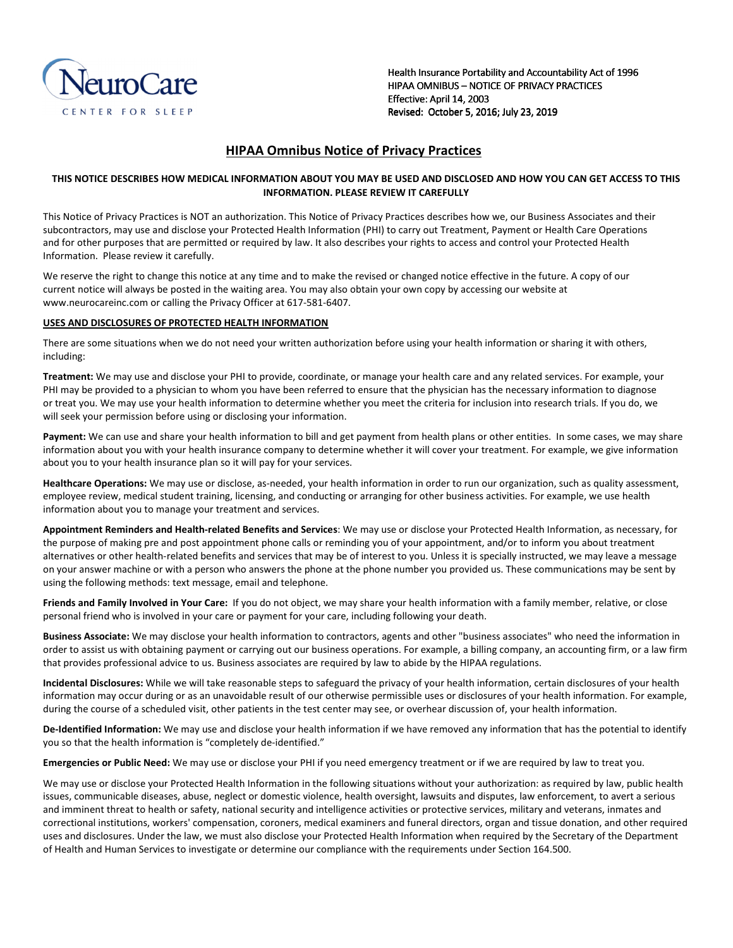

Health Insurance Portability and Accountability Act of 1996 HIPAA OMNIBUS - NOTICE OF PRIVACY PRACTICES Effective: April 14, 2003 Revised: October 5, 2016; July 23, 2019

# **HIPAA Omnibus Notice of Privacy Practices**

## **THIS NOTICE DESCRIBES HOW MEDICAL INFORMATION ABOUT YOU MAY BE USED AND DISCLOSED AND HOW YOU CAN GET ACCESS TO THIS INFORMATION. PLEASE REVIEW IT CAREFULLY**

This Notice of Privacy Practices is NOT an authorization. This Notice of Privacy Practices describes how we, our Business Associates and their subcontractors, may use and disclose your Protected Health Information (PHI) to carry out Treatment, Payment or Health Care Operations and for other purposes that are permitted or required by law. It also describes your rights to access and control your Protected Health Information. Please review it carefully.

We reserve the right to change this notice at any time and to make the revised or changed notice effective in the future. A copy of our current notice will always be posted in the waiting area. You may also obtain your own copy by accessing our website at www.neurocareinc.com or calling the Privacy Officer at 617-581-6407.

## **USES AND DISCLOSURES OF PROTECTED HEALTH INFORMATION**

There are some situations when we do not need your written authorization before using your health information or sharing it with others, including:

**Treatment:** We may use and disclose your PHI to provide, coordinate, or manage your health care and any related services. For example, your PHI may be provided to a physician to whom you have been referred to ensure that the physician has the necessary information to diagnose or treat you. We may use your health information to determine whether you meet the criteria for inclusion into research trials. If you do, we will seek your permission before using or disclosing your information.

Payment: We can use and share your health information to bill and get payment from health plans or other entities. In some cases, we may share information about you with your health insurance company to determine whether it will cover your treatment. For example, we give information about you to your health insurance plan so it will pay for your services.

**Healthcare Operations:** We may use or disclose, as-needed, your health information in order to run our organization, such as quality assessment, employee review, medical student training, licensing, and conducting or arranging for other business activities. For example, we use health information about you to manage your treatment and services.

**Appointment Reminders and Health-related Benefits and Services**: We may use or disclose your Protected Health Information, as necessary, for the purpose of making pre and post appointment phone calls or reminding you of your appointment, and/or to inform you about treatment alternatives or other health-related benefits and services that may be of interest to you. Unless it is specially instructed, we may leave a message on your answer machine or with a person who answers the phone at the phone number you provided us. These communications may be sent by using the following methods: text message, email and telephone.

**Friends and Family Involved in Your Care:** If you do not object, we may share your health information with a family member, relative, or close personal friend who is involved in your care or payment for your care, including following your death.

**Business Associate:** We may disclose your health information to contractors, agents and other "business associates" who need the information in order to assist us with obtaining payment or carrying out our business operations. For example, a billing company, an accounting firm, or a law firm that provides professional advice to us. Business associates are required by law to abide by the HIPAA regulations.

**Incidental Disclosures:** While we will take reasonable steps to safeguard the privacy of your health information, certain disclosures of your health information may occur during or as an unavoidable result of our otherwise permissible uses or disclosures of your health information. For example, during the course of a scheduled visit, other patients in the test center may see, or overhear discussion of, your health information.

**De-Identified Information:** We may use and disclose your health information if we have removed any information that has the potential to identify you so that the health information is "completely de-identified."

**Emergencies or Public Need:** We may use or disclose your PHI if you need emergency treatment or if we are required by law to treat you.

We may use or disclose your Protected Health Information in the following situations without your authorization: as required by law, public health issues, communicable diseases, abuse, neglect or domestic violence, health oversight, lawsuits and disputes, law enforcement, to avert a serious and imminent threat to health or safety, national security and intelligence activities or protective services, military and veterans, inmates and correctional institutions, workers' compensation, coroners, medical examiners and funeral directors, organ and tissue donation, and other required uses and disclosures. Under the law, we must also disclose your Protected Health Information when required by the Secretary of the Department of Health and Human Services to investigate or determine our compliance with the requirements under Section 164.500.